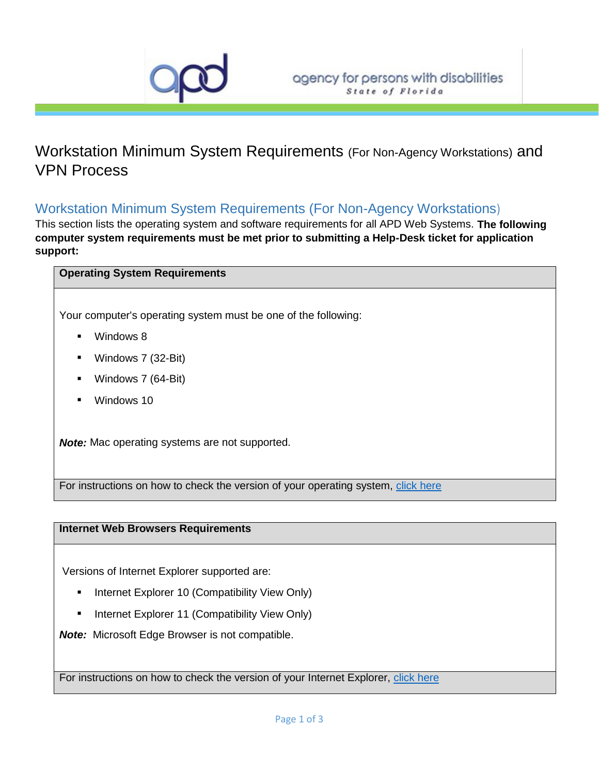

# Workstation Minimum System Requirements (For Non-Agency Workstations) and VPN Process

# Workstation Minimum System Requirements (For Non-Agency Workstations)

This section lists the operating system and software requirements for all APD Web Systems. **The following computer system requirements must be met prior to submitting a Help-Desk ticket for application support:**

## **Operating System Requirements**

Your computer's operating system must be one of the following:

- Windows 8
- Windows 7 (32-Bit)
- Windows 7 (64-Bit)
- **Windows 10**

*Note:* Mac operating systems are not supported.

For instructions on how to check the version of your operating system, [click here](http://windows.microsoft.com/is-IS/windows7/help/which-version-of-the-windows-operating-system-am-i-running)

## **Internet Web Browsers Requirements**

Versions of Internet Explorer supported are:

- Internet Explorer 10 (Compatibility View Only)
- Internet Explorer 11 (Compatibility View Only)

*Note:* Microsoft Edge Browser is not compatible.

For instructions on how to check the version of your Internet Explorer, [click here](http://windows.microsoft.com/en-US/windows-vista/Find-out-which-version-of-Internet-Explorer-youre-using)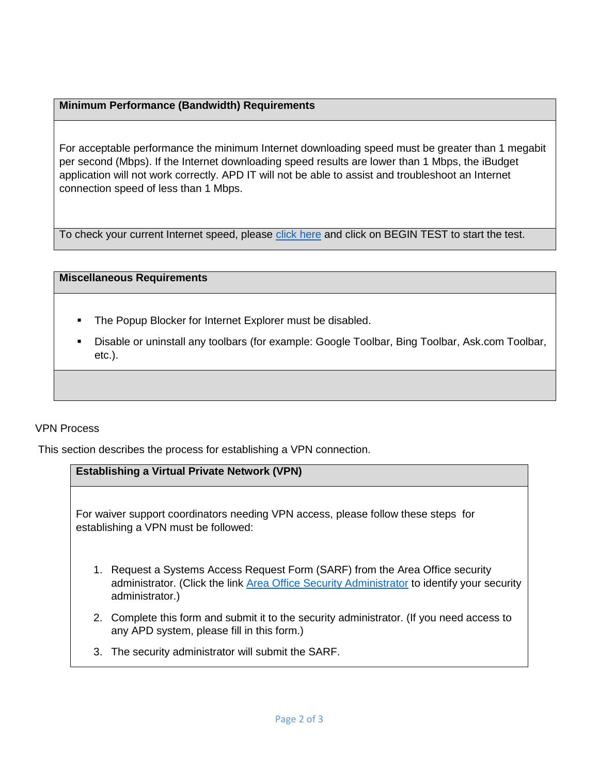# **Minimum Performance (Bandwidth) Requirements**

For acceptable performance the minimum Internet downloading speed must be greater than 1 megabit per second (Mbps). If the Internet downloading speed results are lower than 1 Mbps, the iBudget application will not work correctly. APD IT will not be able to assist and troubleshoot an Internet connection speed of less than 1 Mbps.

To check your current Internet speed, please [click here](http://www.speedtest.net/) and click on BEGIN TEST to start the test.

#### **Miscellaneous Requirements**

- **The Popup Blocker for Internet Explorer must be disabled.**
- Disable or uninstall any toolbars (for example: Google Toolbar, Bing Toolbar, Ask.com Toolbar, etc.).

## VPN Process

This section describes the process for establishing a VPN connection.

# **Establishing a Virtual Private Network (VPN)**

For waiver support coordinators needing VPN access, please follow these steps for establishing a VPN must be followed:

- 1. Request a Systems Access Request Form (SARF) from the Area Office security administrator. (Click the link [Area Office Security Administrator](http://intranet.apd.myflorida.com/it/it-forms/sarf-coordinator.pdf) to identify your security administrator.)
- 2. Complete this form and submit it to the security administrator. (If you need access to any APD system, please fill in this form.)
- 3. The security administrator will submit the SARF.